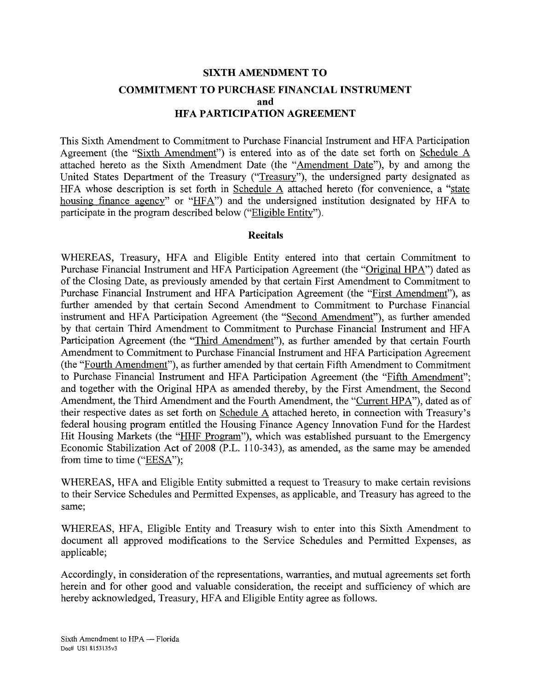# **SIXTH AMENDMENT TO COMMITMENT TO PURCHASE FINANCIAL INSTRUMENT and HFA PARTICIPATION AGREEMENT**

This Sixth Amendment to Commitment to Purchase Financial Instrument and HFA Participation Agreement (the "Sixth Amendment") is entered into as of the date set forth on Schedule A attached hereto as the Sixth Amendment Date (the "Amendment Date"), by and among the United States Department of the Treasury ("Treasury"), the undersigned party designated as HFA whose description is set forth in Schedule A attached hereto (for convenience, a "state housing finance agency" or "HFA") and the undersigned institution designated by HFA to participate in the program described below ("Eligible Entity").

#### **Recitals**

WHEREAS, Treasury, HFA and Eligible Entity entered into that certain Commitment to Purchase Financial Instrument and HFA Participation Agreement (the "Original HP A") dated as of the Closing Date, as previously amended by that certain First Amendment to Commitment to Purchase Financial Instrument and HFA Participation Agreement (the "First Amendment"), as further amended by that certain Second Amendment to Commitment to Purchase Financial instrument and HFA Participation Agreement (the "Second Amendment"), as further amended by that certain Third Amendment to Commitment to Purchase Financial Instrument and HFA Participation Agreement (the "Third Amendment"), as further amended by that certain Fourth Amendment to Commitment to Purchase Financial Instrument and HFA Participation Agreement (the "Fourth Amendment"), as further amended by that certain Fifth Amendment to Commitment to Purchase Financial Instrument and HFA Participation Agreement (the "Fifth Amendment"; and together with the Original HPA as amended thereby, by the First Amendment, the Second Amendment, the Third Amendment and the Fourth Amendment, the "Current HPA"), dated as of their respective dates as set forth on Schedule A attached hereto, in connection with Treasury's federal housing program entitled the Housing Finance Agency Innovation Fund for the Hardest Hit Housing Markets (the "HHF Program"), which was established pursuant to the Emergency Economic Stabilization Act of 2008 (P.L. 110-343), as amended, as the same may be amended from time to time ("EESA");

WHEREAS, HFA and Eligible Entity submitted a request to Treasury to make certain revisions to their Service Schedules and Permitted Expenses, as applicable, and Treasury has agreed to the same;

WHEREAS, HFA, Eligible Entity and Treasury wish to enter into this Sixth Amendment to document all approved modifications to the Service Schedules and Permitted Expenses, as applicable;

Accordingly, in consideration of the representations, warranties, and mutual agreements set forth herein and for other good and valuable consideration, the receipt and sufficiency of which are hereby acknowledged, Treasury, HFA and Eligible Entity agree as follows.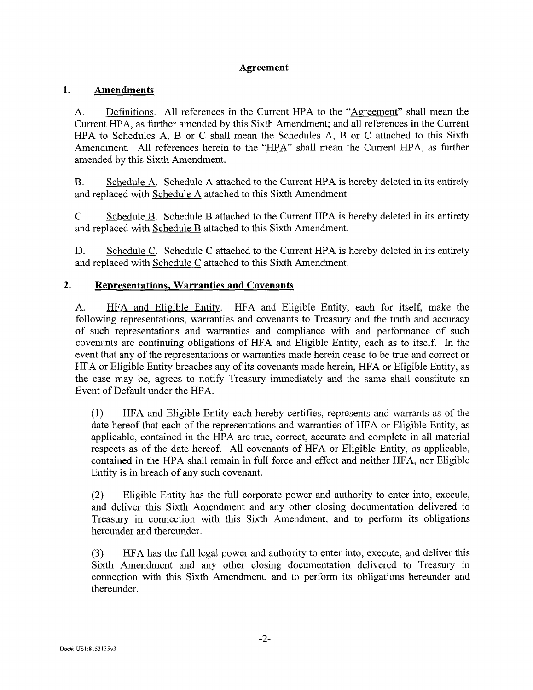# **Agreement**

#### 1. **Amendments**

A. Definitions. All references in the Current HPA to the "Agreement" shall mean the Current HPA, as further amended by this Sixth Amendment; and all references in the Current HPA to Schedules A, B or C shall mean the Schedules A, B or C attached to this Sixth Amendment. All references herein to the "HPA" shall mean the Current HPA, as further amended by this Sixth Amendment.

B. Schedule A. Schedule A attached to the Current HPA is hereby deleted in its entirety and replaced with Schedule A attached to this Sixth Amendment.

C. Schedule B. Schedule B attached to the Current HPA is hereby deleted in its entirety and replaced with Schedule B attached to this Sixth Amendment.

D. Schedule C. Schedule C attached to the Current HPA is hereby deleted in its entirety and replaced with Schedule C attached to this Sixth Amendment.

#### $2.$ **Representations, Warranties and Covenants**

A. HFA and Eligible Entity. HFA and Eligible Entity, each for itself, make the following representations, warranties and covenants to Treasury and the truth and accuracy of such representations and warranties and compliance with and performance of such covenants are continuing obligations of HFA and Eligible Entity, each as to itself. In the event that any of the representations or warranties made herein cease to be true and correct or HFA or Eligible Entity breaches any of its covenants made herein, HFA or Eligible Entity, as the case may be, agrees to notify Treasury immediately and the same shall constitute an Event of Default under the HPA.

(1) HFA and Eligible Entity each hereby certifies, represents and warrants as of the date hereof that each of the representations and warranties of HFA or Eligible Entity, as applicable, contained in the HPA are true, correct, accurate and complete in all material respects as of the date hereof. All covenants of HFA or Eligible Entity, as applicable, contained in the HPA shall remain in full force and effect and neither HFA, nor Eligible Entity is in breach of any such covenant.

(2) Eligible Entity has the full corporate power and authority to enter into, execute, and deliver this Sixth Amendment and any other closing documentation delivered to Treasury in connection with this Sixth Amendment, and to perform its obligations hereunder and thereunder.

(3) HFA has the full legal power and authority to enter into, execute, and deliver this Sixth Amendment and any other closing documentation delivered to Treasury in connection with this Sixth Amendment, and to perform its obligations hereunder and thereunder.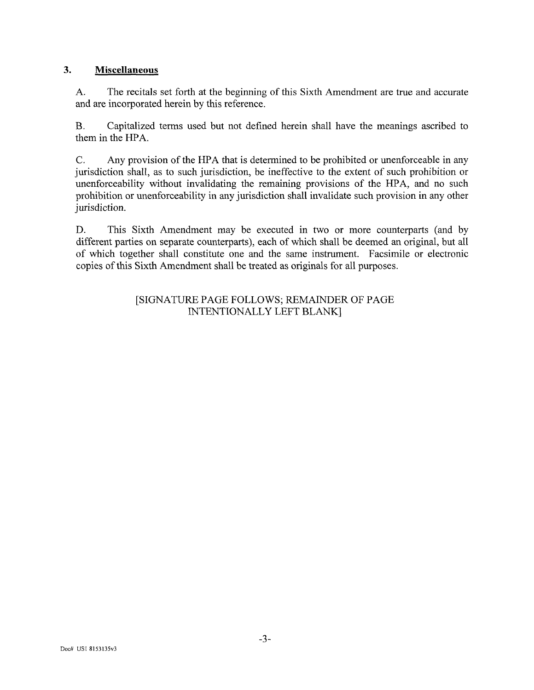# **3. Miscellaneous**

A. The recitals set forth at the beginning of this Sixth Amendment are true and accurate and are incorporated herein by this reference.

B. Capitalized terms used but not defined herein shall have the meanings ascribed to them in the HPA.

C. Any provision of the HPA that is determined to be prohibited or unenforceable in any jurisdiction shall, as to such jurisdiction, be ineffective to the extent of such prohibition or unenforceability without invalidating the remaining provisions of the HPA, and no such prohibition or unenforceability in any jurisdiction shall invalidate such provision in any other jurisdiction.

D. This Sixth Amendment may be executed in two or more counterparts (and by different parties on separate counterparts), each of which shall be deemed an original, but all of which together shall constitute one and the same instrument. Facsimile or electronic copies of this Sixth Amendment shall be treated as originals for all purposes.

# [SIGNATURE PAGE FOLLOWS; REMAINDER OF PAGE INTENTIONALLY LEFT BLANK]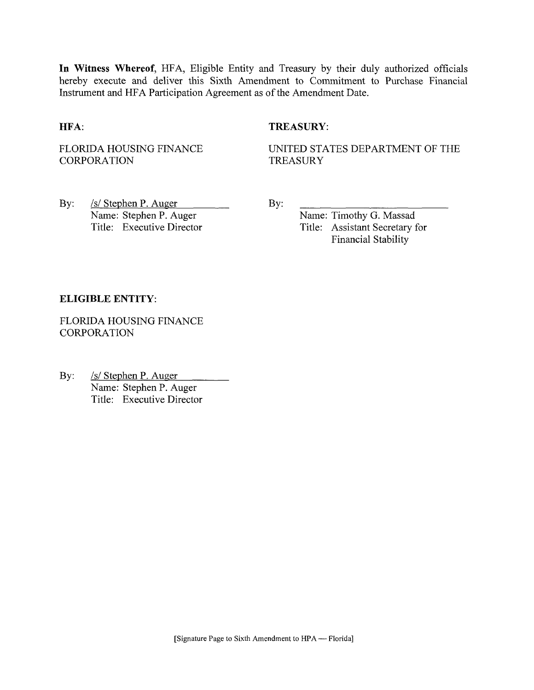**In Witness Whereof,** HFA, Eligible Entity and Treasury by their duly authorized officials hereby execute and deliver this Sixth Amendment to Commitment to Purchase Financial Instrument and HFA Participation Agreement as of the Amendment Date.

### **HFA:** TREASURY:

FLORIDA HOUSING FINANCE **CORPORATION** 

UNITED STATES DEPARTMENT OF THE TREASURY

By: /s/ Stephen P. Auger Name: Stephen P. Auger Title: Executive Director By:

Name: Timothy G. Massad Title: Assistant Secretary for Financial Stability

#### **ELIGIBLE ENTITY:**

FLORIDA HOUSING FINANCE **CORPORATION** 

By: /s/ Stephen P. Auger Name: Stephen P. Auger Title: Executive Director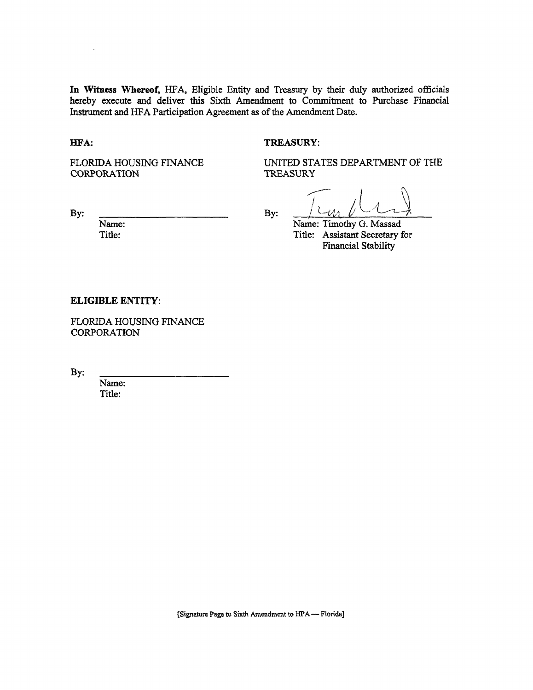**In Witness Whereof,** HFA, Eligible Entity and Treasury by their duly authorized officials hereby execute and deliver this Sixth Amendment to Commitment to Purchase Financial Instrument and HFA Participation Agreement as of the Amendment Date.

#### **HFA:** TREASURY:

FLORIDA HOUSING FINANCE CORPORATION

UNITED STATES DEPARTMENT OF THE TREASURY

By:  $\frac{\int U \cdot \mu \cdot \mu \cdot \mu}{\lim_{x \to 0^+} \frac{\int U \cdot \mu \cdot \mu \cdot \mu}{\lim_{x \to 0^+} \frac{\int U \cdot \mu \cdot \mu \cdot \mu}{\mu \cdot \mu \cdot \mu}}$ Name: Timothy G. Massad Title: Assistant Secretary for Financial Stability

#### **ELIGIBLE ENTITY:**

Name: Title:

FLORIDA HOUSING FINANCE CORPORATION

By:

Name: Title: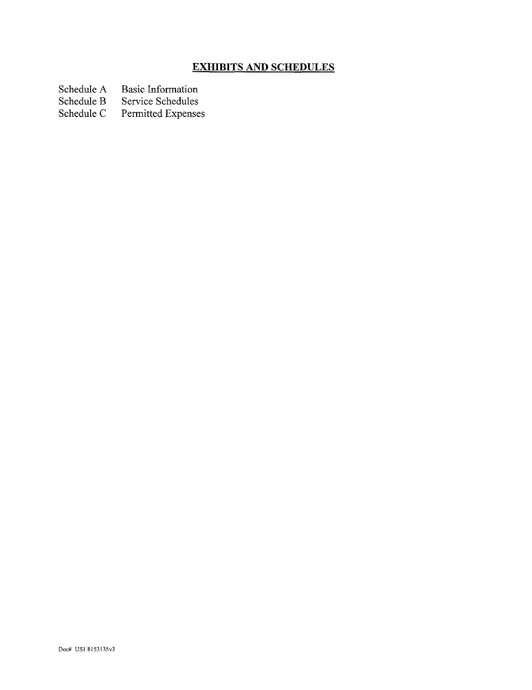# **EXHIBITS AND SCHEDULES**

Schedule A Basic Information<br>Schedule B Service Schedules

Schedule B Service Schedules<br>Schedule C Permitted Expense

Permitted Expenses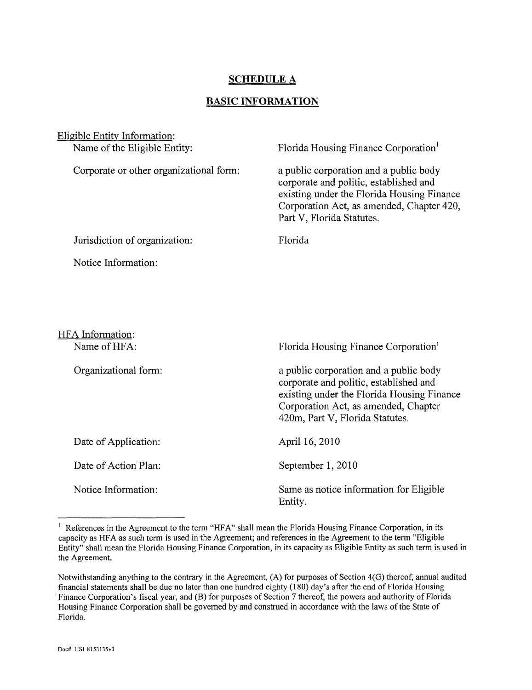# **SCHEDULE A**

#### **BASIC INFORMATION**

| Eligible Entity Information:            |                                                                                                                                                                                                           |
|-----------------------------------------|-----------------------------------------------------------------------------------------------------------------------------------------------------------------------------------------------------------|
| Name of the Eligible Entity:            | Florida Housing Finance Corporation <sup>1</sup>                                                                                                                                                          |
| Corporate or other organizational form: | a public corporation and a public body<br>corporate and politic, established and<br>existing under the Florida Housing Finance<br>Corporation Act, as amended, Chapter 420,<br>Part V, Florida Statutes.  |
| Jurisdiction of organization:           | Florida                                                                                                                                                                                                   |
| Notice Information:                     |                                                                                                                                                                                                           |
| HFA Information:<br>Name of HFA:        | Florida Housing Finance Corporation <sup>1</sup>                                                                                                                                                          |
| Organizational form:                    | a public corporation and a public body<br>corporate and politic, established and<br>existing under the Florida Housing Finance<br>Corporation Act, as amended, Chapter<br>420m, Part V, Florida Statutes. |
| Date of Application:                    | April 16, 2010                                                                                                                                                                                            |
| Date of Action Plan:                    | September 1, 2010                                                                                                                                                                                         |
| Notice Information:                     | Same as notice information for Eligible<br>Entity.                                                                                                                                                        |

<sup>&</sup>lt;sup>1</sup> References in the Agreement to the term "HFA" shall mean the Florida Housing Finance Corporation, in its capacity as HFA as such term is used in the Agreement; and references in the Agreement to the term "Eligible Entity" shall mean the Florida Housing Finance Corporation, in its capacity as Eligible Entity as such term is used in the Agreement.

Notwithstanding anything to the contrary in the Agreement, (A) for purposes of Section 4(G) thereof, annual audited financial statements shall be due no later than one hundred eighty (180) day's after the end of Florida Housing Finance Corporation's fiscal year, and (B) for purposes of Section 7 thereof, the powers and authority of Florida Housing Finance Corporation shall be governed by and construed in accordance with the laws of the State of Florida.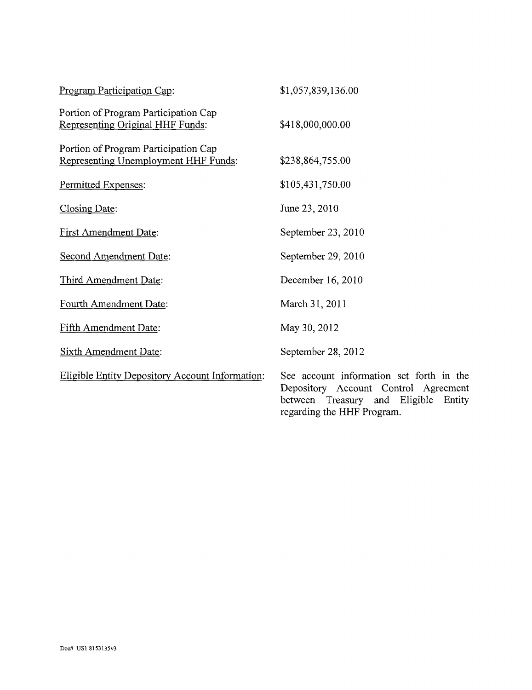| Program Participation Cap:                                                   | \$1,057,839,136.00                                                                                                                                        |
|------------------------------------------------------------------------------|-----------------------------------------------------------------------------------------------------------------------------------------------------------|
| Portion of Program Participation Cap<br>Representing Original HHF Funds:     | \$418,000,000.00                                                                                                                                          |
| Portion of Program Participation Cap<br>Representing Unemployment HHF Funds: | \$238,864,755.00                                                                                                                                          |
| Permitted Expenses:                                                          | \$105,431,750.00                                                                                                                                          |
| Closing Date:                                                                | June 23, 2010                                                                                                                                             |
| <b>First Amendment Date:</b>                                                 | September 23, 2010                                                                                                                                        |
| <b>Second Amendment Date:</b>                                                | September 29, 2010                                                                                                                                        |
| Third Amendment Date:                                                        | December 16, 2010                                                                                                                                         |
| Fourth Amendment Date:                                                       | March 31, 2011                                                                                                                                            |
| <b>Fifth Amendment Date:</b>                                                 | May 30, 2012                                                                                                                                              |
| <b>Sixth Amendment Date:</b>                                                 | September 28, 2012                                                                                                                                        |
| <b>Eligible Entity Depository Account Information:</b>                       | See account information set forth in the<br>Depository Account Control Agreement<br>between Treasury and Eligible<br>Entity<br>regarding the HHF Program. |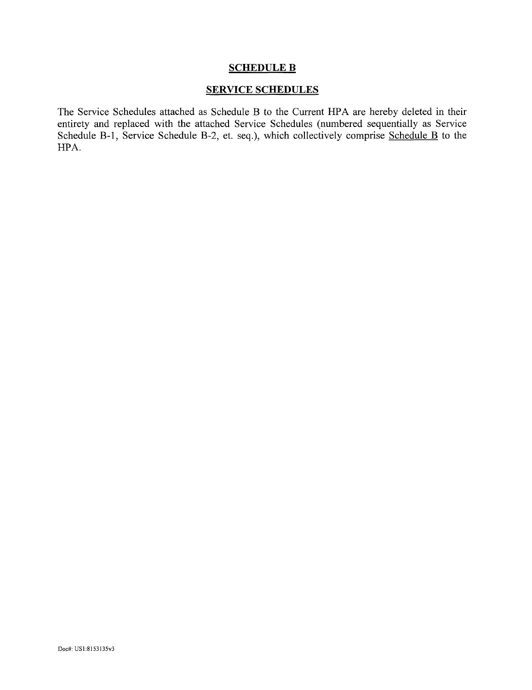#### SCHEDULE B

# SERVICE SCHEDULES

The Service Schedules attached as Schedule B to the Current HPA are hereby deleted in their entirety and replaced with the attached Service Schedules (numbered sequentially as Service Schedule B-1, Service Schedule B-2, et. seq.), which collectively comprise Schedule B to the HPA.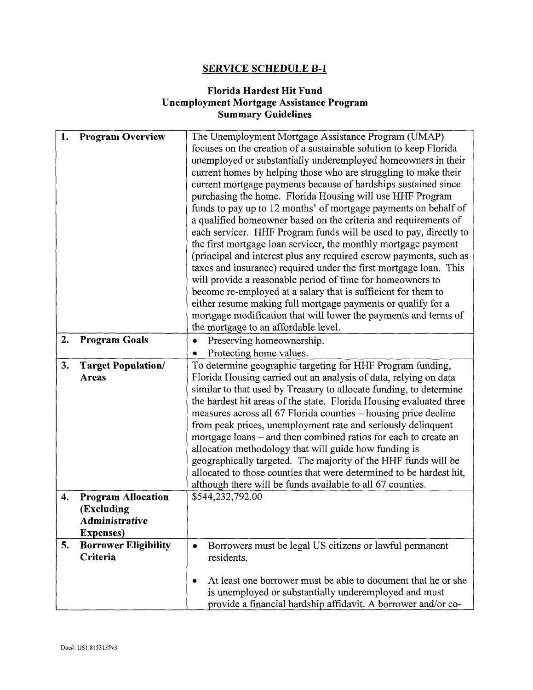# **SERVICE SCHEDULE B-l**

# **Florida Hardest Hit Fund Unemployment Mortgage Assistance Program Summary Guidelines**

| 1. | <b>Program Overview</b>     | The Unemployment Mortgage Assistance Program (UMAP)                  |  |
|----|-----------------------------|----------------------------------------------------------------------|--|
|    |                             | focuses on the creation of a sustainable solution to keep Florida    |  |
|    |                             | unemployed or substantially underemployed homeowners in their        |  |
|    |                             | current homes by helping those who are struggling to make their      |  |
|    |                             |                                                                      |  |
|    |                             | current mortgage payments because of hardships sustained since       |  |
|    |                             | purchasing the home. Florida Housing will use HHF Program            |  |
|    |                             | funds to pay up to 12 months' of mortgage payments on behalf of      |  |
|    |                             | a qualified homeowner based on the criteria and requirements of      |  |
|    |                             | each servicer. HHF Program funds will be used to pay, directly to    |  |
|    |                             | the first mortgage loan servicer, the monthly mortgage payment       |  |
|    |                             | (principal and interest plus any required escrow payments, such as   |  |
|    |                             | taxes and insurance) required under the first mortgage loan. This    |  |
|    |                             | will provide a reasonable period of time for homeowners to           |  |
|    |                             | become re-employed at a salary that is sufficient for them to        |  |
|    |                             | either resume making full mortgage payments or qualify for a         |  |
|    |                             | mortgage modification that will lower the payments and terms of      |  |
|    |                             | the mortgage to an affordable level.                                 |  |
| 2. | <b>Program Goals</b>        | Preserving homeownership.                                            |  |
|    |                             | Protecting home values.                                              |  |
| 3. | <b>Target Population/</b>   | To determine geographic targeting for HHF Program funding,           |  |
|    | Areas                       | Florida Housing carried out an analysis of data, relying on data     |  |
|    |                             | similar to that used by Treasury to allocate funding, to determine   |  |
|    |                             | the hardest hit areas of the state. Florida Housing evaluated three  |  |
|    |                             | measures across all 67 Florida counties – housing price decline      |  |
|    |                             | from peak prices, unemployment rate and seriously delinquent         |  |
|    |                             | mortgage loans – and then combined ratios for each to create an      |  |
|    |                             | allocation methodology that will guide how funding is                |  |
|    |                             | geographically targeted. The majority of the HHF funds will be       |  |
|    |                             | allocated to those counties that were determined to be hardest hit,  |  |
|    |                             | although there will be funds available to all 67 counties.           |  |
| 4. | <b>Program Allocation</b>   | \$544,232,792.00                                                     |  |
|    | (Excluding                  |                                                                      |  |
|    | <b>Administrative</b>       |                                                                      |  |
|    | <b>Expenses</b> )           |                                                                      |  |
| 5. | <b>Borrower Eligibility</b> | Borrowers must be legal US citizens or lawful permanent<br>$\bullet$ |  |
|    | Criteria                    | residents.                                                           |  |
|    |                             |                                                                      |  |
|    |                             | At least one borrower must be able to document that he or she<br>٠   |  |
|    |                             | is unemployed or substantially underemployed and must                |  |
|    |                             | provide a financial hardship affidavit. A borrower and/or co-        |  |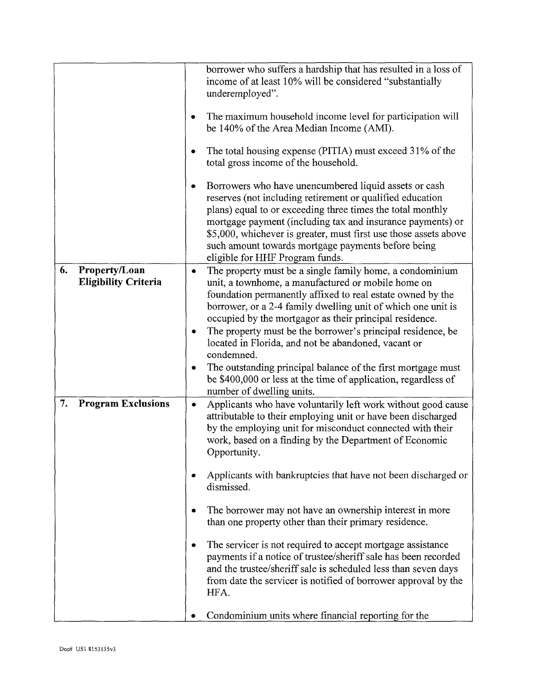|                                                    | borrower who suffers a hardship that has resulted in a loss of<br>income of at least 10% will be considered "substantially<br>underemployed".                                                                                                                                                                                                                                                                                                                                                                                                                                                                                                                                                                                                                                                                  |
|----------------------------------------------------|----------------------------------------------------------------------------------------------------------------------------------------------------------------------------------------------------------------------------------------------------------------------------------------------------------------------------------------------------------------------------------------------------------------------------------------------------------------------------------------------------------------------------------------------------------------------------------------------------------------------------------------------------------------------------------------------------------------------------------------------------------------------------------------------------------------|
|                                                    | The maximum household income level for participation will<br>be 140% of the Area Median Income (AMI).                                                                                                                                                                                                                                                                                                                                                                                                                                                                                                                                                                                                                                                                                                          |
|                                                    | The total housing expense (PITIA) must exceed 31% of the<br>total gross income of the household.                                                                                                                                                                                                                                                                                                                                                                                                                                                                                                                                                                                                                                                                                                               |
|                                                    | Borrowers who have unencumbered liquid assets or cash<br>reserves (not including retirement or qualified education<br>plans) equal to or exceeding three times the total monthly<br>mortgage payment (including tax and insurance payments) or<br>\$5,000, whichever is greater, must first use those assets above<br>such amount towards mortgage payments before being<br>eligible for HHF Program funds.                                                                                                                                                                                                                                                                                                                                                                                                    |
| 6.<br>Property/Loan<br><b>Eligibility Criteria</b> | The property must be a single family home, a condominium<br>$\bullet$<br>unit, a townhome, a manufactured or mobile home on<br>foundation permanently affixed to real estate owned by the<br>borrower, or a 2-4 family dwelling unit of which one unit is<br>occupied by the mortgagor as their principal residence.<br>The property must be the borrower's principal residence, be<br>located in Florida, and not be abandoned, vacant or<br>condemned.<br>The outstanding principal balance of the first mortgage must<br>be \$400,000 or less at the time of application, regardless of<br>number of dwelling units.                                                                                                                                                                                        |
| 7.<br><b>Program Exclusions</b>                    | Applicants who have voluntarily left work without good cause<br>٠<br>attributable to their employing unit or have been discharged<br>by the employing unit for misconduct connected with their<br>work, based on a finding by the Department of Economic<br>Opportunity.<br>Applicants with bankruptcies that have not been discharged or<br>dismissed.<br>The borrower may not have an ownership interest in more<br>than one property other than their primary residence.<br>The servicer is not required to accept mortgage assistance<br>payments if a notice of trustee/sheriff sale has been recorded<br>and the trustee/sheriff sale is scheduled less than seven days<br>from date the servicer is notified of borrower approval by the<br>HFA.<br>Condominium units where financial reporting for the |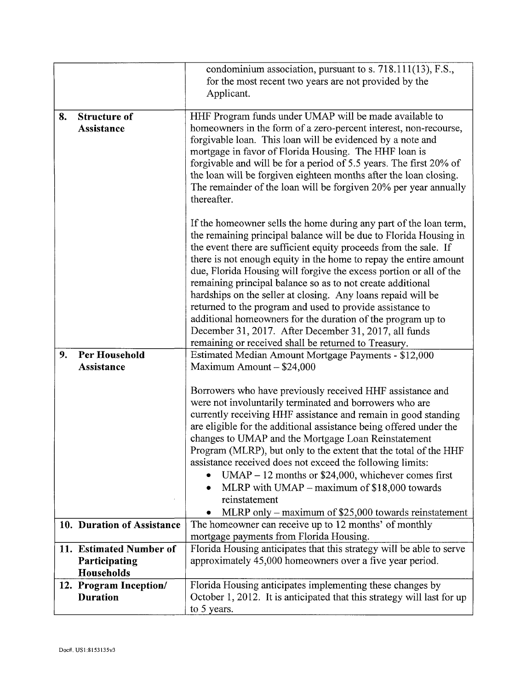|    |                             | condominium association, pursuant to s. 718.111(13), F.S.,                                                                       |
|----|-----------------------------|----------------------------------------------------------------------------------------------------------------------------------|
|    |                             | for the most recent two years are not provided by the                                                                            |
|    |                             | Applicant.                                                                                                                       |
| 8. | <b>Structure of</b>         | HHF Program funds under UMAP will be made available to                                                                           |
|    | Assistance                  | homeowners in the form of a zero-percent interest, non-recourse,                                                                 |
|    |                             | forgivable loan. This loan will be evidenced by a note and                                                                       |
|    |                             | mortgage in favor of Florida Housing. The HHF loan is                                                                            |
|    |                             | forgivable and will be for a period of 5.5 years. The first 20% of                                                               |
|    |                             | the loan will be forgiven eighteen months after the loan closing.                                                                |
|    |                             | The remainder of the loan will be forgiven 20% per year annually                                                                 |
|    |                             | thereafter.                                                                                                                      |
|    |                             | If the homeowner sells the home during any part of the loan term,                                                                |
|    |                             | the remaining principal balance will be due to Florida Housing in                                                                |
|    |                             | the event there are sufficient equity proceeds from the sale. If                                                                 |
|    |                             | there is not enough equity in the home to repay the entire amount                                                                |
|    |                             | due, Florida Housing will forgive the excess portion or all of the                                                               |
|    |                             | remaining principal balance so as to not create additional                                                                       |
|    |                             | hardships on the seller at closing. Any loans repaid will be                                                                     |
|    |                             | returned to the program and used to provide assistance to                                                                        |
|    |                             | additional homeowners for the duration of the program up to<br>December 31, 2017. After December 31, 2017, all funds             |
|    |                             | remaining or received shall be returned to Treasury.                                                                             |
| 9. | <b>Per Household</b>        | Estimated Median Amount Mortgage Payments - \$12,000                                                                             |
|    | Assistance                  | Maximum Amount - \$24,000                                                                                                        |
|    |                             |                                                                                                                                  |
|    |                             | Borrowers who have previously received HHF assistance and                                                                        |
|    |                             | were not involuntarily terminated and borrowers who are                                                                          |
|    |                             | currently receiving HHF assistance and remain in good standing                                                                   |
|    |                             | are eligible for the additional assistance being offered under the<br>changes to UMAP and the Mortgage Loan Reinstatement        |
|    |                             | Program (MLRP), but only to the extent that the total of the HHF                                                                 |
|    |                             | assistance received does not exceed the following limits:                                                                        |
|    |                             | $UMAP - 12$ months or \$24,000, whichever comes first                                                                            |
|    |                             | MLRP with UMAP $-$ maximum of \$18,000 towards                                                                                   |
|    |                             | reinstatement                                                                                                                    |
|    |                             | MLRP only – maximum of \$25,000 towards reinstatement                                                                            |
|    | 10. Duration of Assistance  | The homeowner can receive up to 12 months' of monthly                                                                            |
|    |                             | mortgage payments from Florida Housing.                                                                                          |
|    | 11. Estimated Number of     | Florida Housing anticipates that this strategy will be able to serve<br>approximately 45,000 homeowners over a five year period. |
|    | Participating<br>Households |                                                                                                                                  |
|    | 12. Program Inception/      | Florida Housing anticipates implementing these changes by                                                                        |
|    | <b>Duration</b>             | October 1, 2012. It is anticipated that this strategy will last for up                                                           |
|    |                             | to 5 years.                                                                                                                      |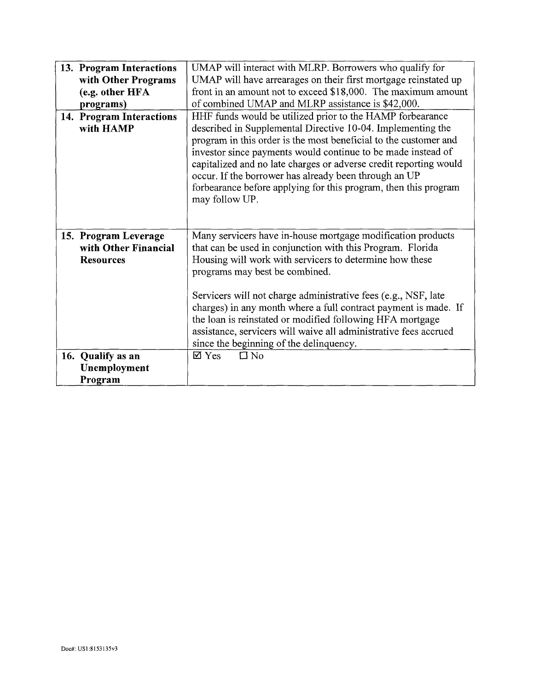| 13. Program Interactions | UMAP will interact with MLRP. Borrowers who qualify for           |  |
|--------------------------|-------------------------------------------------------------------|--|
| with Other Programs      | UMAP will have arrearages on their first mortgage reinstated up   |  |
| (e.g. other HFA          | front in an amount not to exceed \$18,000. The maximum amount     |  |
| programs)                | of combined UMAP and MLRP assistance is \$42,000.                 |  |
| 14. Program Interactions | HHF funds would be utilized prior to the HAMP forbearance         |  |
| with HAMP                |                                                                   |  |
|                          | described in Supplemental Directive 10-04. Implementing the       |  |
|                          | program in this order is the most beneficial to the customer and  |  |
|                          | investor since payments would continue to be made instead of      |  |
|                          | capitalized and no late charges or adverse credit reporting would |  |
|                          | occur. If the borrower has already been through an UP             |  |
|                          | forbearance before applying for this program, then this program   |  |
|                          | may follow UP.                                                    |  |
|                          |                                                                   |  |
|                          |                                                                   |  |
| 15. Program Leverage     | Many servicers have in-house mortgage modification products       |  |
| with Other Financial     | that can be used in conjunction with this Program. Florida        |  |
| <b>Resources</b>         | Housing will work with servicers to determine how these           |  |
|                          | programs may best be combined.                                    |  |
|                          |                                                                   |  |
|                          | Servicers will not charge administrative fees (e.g., NSF, late    |  |
|                          |                                                                   |  |
|                          | charges) in any month where a full contract payment is made. If   |  |
|                          | the loan is reinstated or modified following HFA mortgage         |  |
|                          | assistance, servicers will waive all administrative fees accrued  |  |
|                          | since the beginning of the delinquency.                           |  |
| 16. Qualify as an        | $\square$ No<br>$\boxtimes$ Yes                                   |  |
| Unemployment             |                                                                   |  |
| Program                  |                                                                   |  |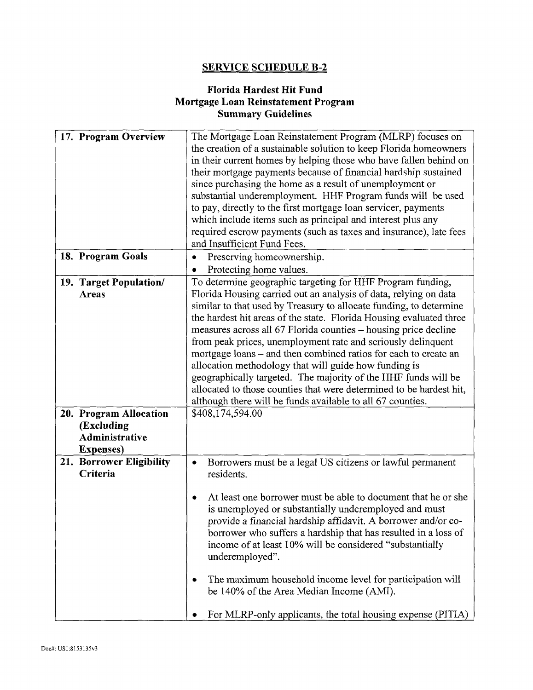# **SERVICE SCHEDULE B-2**

# **Florida Hardest Hit Fund Mortgage Loan Reinstatement Program Summary Guidelines**

|              | 17. Program Overview                              | The Mortgage Loan Reinstatement Program (MLRP) focuses on<br>the creation of a sustainable solution to keep Florida homeowners<br>in their current homes by helping those who have fallen behind on<br>their mortgage payments because of financial hardship sustained<br>since purchasing the home as a result of unemployment or<br>substantial underemployment. HHF Program funds will be used<br>to pay, directly to the first mortgage loan servicer, payments<br>which include items such as principal and interest plus any                                                                                                                                                                                                                                    |
|--------------|---------------------------------------------------|-----------------------------------------------------------------------------------------------------------------------------------------------------------------------------------------------------------------------------------------------------------------------------------------------------------------------------------------------------------------------------------------------------------------------------------------------------------------------------------------------------------------------------------------------------------------------------------------------------------------------------------------------------------------------------------------------------------------------------------------------------------------------|
|              |                                                   | required escrow payments (such as taxes and insurance), late fees<br>and Insufficient Fund Fees.                                                                                                                                                                                                                                                                                                                                                                                                                                                                                                                                                                                                                                                                      |
|              | 18. Program Goals                                 | Preserving homeownership.<br>۰<br>Protecting home values.<br>٠                                                                                                                                                                                                                                                                                                                                                                                                                                                                                                                                                                                                                                                                                                        |
| <b>Areas</b> | 19. Target Population/<br>20. Program Allocation  | To determine geographic targeting for HHF Program funding,<br>Florida Housing carried out an analysis of data, relying on data<br>similar to that used by Treasury to allocate funding, to determine<br>the hardest hit areas of the state. Florida Housing evaluated three<br>measures across all 67 Florida counties – housing price decline<br>from peak prices, unemployment rate and seriously delinquent<br>mortgage loans – and then combined ratios for each to create an<br>allocation methodology that will guide how funding is<br>geographically targeted. The majority of the HHF funds will be<br>allocated to those counties that were determined to be hardest hit,<br>although there will be funds available to all 67 counties.<br>\$408,174,594.00 |
|              | (Excluding<br>Administrative<br><b>Expenses</b> ) |                                                                                                                                                                                                                                                                                                                                                                                                                                                                                                                                                                                                                                                                                                                                                                       |
| Criteria     | 21. Borrower Eligibility                          | Borrowers must be a legal US citizens or lawful permanent<br>$\bullet$<br>residents.<br>At least one borrower must be able to document that he or she<br>is unemployed or substantially underemployed and must<br>provide a financial hardship affidavit. A borrower and/or co-<br>borrower who suffers a hardship that has resulted in a loss of<br>income of at least 10% will be considered "substantially<br>underemployed".<br>The maximum household income level for participation will<br>be 140% of the Area Median Income (AMI).<br>For MLRP-only applicants, the total housing expense (PITIA)                                                                                                                                                              |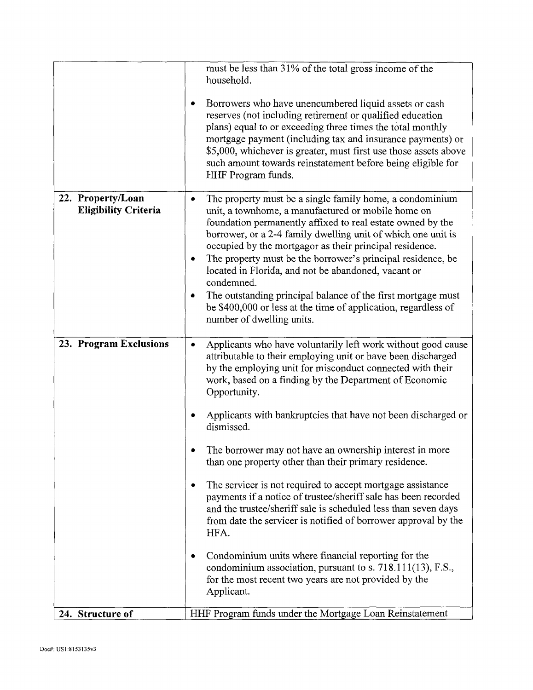|                                                  | must be less than 31% of the total gross income of the<br>household.<br>Borrowers who have unencumbered liquid assets or cash<br>reserves (not including retirement or qualified education<br>plans) equal to or exceeding three times the total monthly<br>mortgage payment (including tax and insurance payments) or<br>\$5,000, whichever is greater, must first use those assets above<br>such amount towards reinstatement before being eligible for<br>HHF Program funds.                                                                                                                                                                                                                                                                                                                                                                                                                                                                                                                                        |
|--------------------------------------------------|------------------------------------------------------------------------------------------------------------------------------------------------------------------------------------------------------------------------------------------------------------------------------------------------------------------------------------------------------------------------------------------------------------------------------------------------------------------------------------------------------------------------------------------------------------------------------------------------------------------------------------------------------------------------------------------------------------------------------------------------------------------------------------------------------------------------------------------------------------------------------------------------------------------------------------------------------------------------------------------------------------------------|
| 22. Property/Loan<br><b>Eligibility Criteria</b> | The property must be a single family home, a condominium<br>٠<br>unit, a townhome, a manufactured or mobile home on<br>foundation permanently affixed to real estate owned by the<br>borrower, or a 2-4 family dwelling unit of which one unit is<br>occupied by the mortgagor as their principal residence.<br>The property must be the borrower's principal residence, be<br>located in Florida, and not be abandoned, vacant or<br>condemned.<br>The outstanding principal balance of the first mortgage must<br>٠<br>be \$400,000 or less at the time of application, regardless of<br>number of dwelling units.                                                                                                                                                                                                                                                                                                                                                                                                   |
| 23. Program Exclusions<br>24. Structure of       | Applicants who have voluntarily left work without good cause<br>$\bullet$<br>attributable to their employing unit or have been discharged<br>by the employing unit for misconduct connected with their<br>work, based on a finding by the Department of Economic<br>Opportunity.<br>Applicants with bankruptcies that have not been discharged or<br>dismissed.<br>The borrower may not have an ownership interest in more<br>than one property other than their primary residence.<br>The servicer is not required to accept mortgage assistance<br>payments if a notice of trustee/sheriff sale has been recorded<br>and the trustee/sheriff sale is scheduled less than seven days<br>from date the servicer is notified of borrower approval by the<br>HFA.<br>Condominium units where financial reporting for the<br>condominium association, pursuant to s. 718.111(13), F.S.,<br>for the most recent two years are not provided by the<br>Applicant.<br>HHF Program funds under the Mortgage Loan Reinstatement |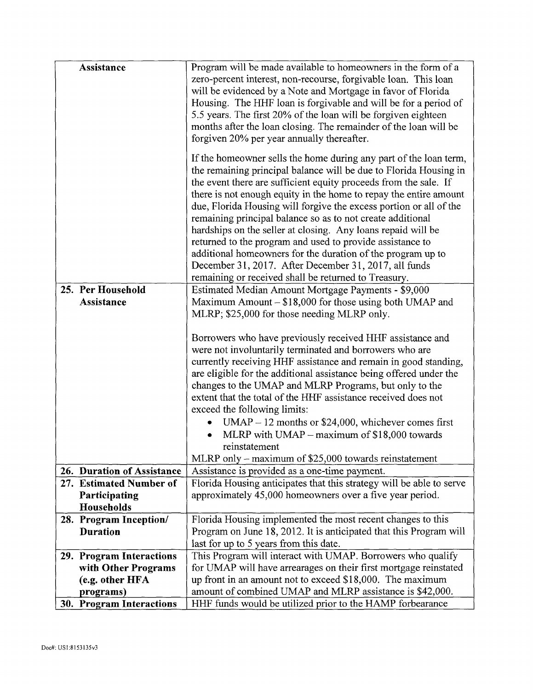| Assistance                 | Program will be made available to homeowners in the form of a        |
|----------------------------|----------------------------------------------------------------------|
|                            | zero-percent interest, non-recourse, forgivable loan. This loan      |
|                            | will be evidenced by a Note and Mortgage in favor of Florida         |
|                            | Housing. The HHF loan is forgivable and will be for a period of      |
|                            | 5.5 years. The first 20% of the loan will be forgiven eighteen       |
|                            | months after the loan closing. The remainder of the loan will be     |
|                            | forgiven 20% per year annually thereafter.                           |
|                            |                                                                      |
|                            | If the homeowner sells the home during any part of the loan term,    |
|                            | the remaining principal balance will be due to Florida Housing in    |
|                            | the event there are sufficient equity proceeds from the sale. If     |
|                            | there is not enough equity in the home to repay the entire amount    |
|                            | due, Florida Housing will forgive the excess portion or all of the   |
|                            | remaining principal balance so as to not create additional           |
|                            | hardships on the seller at closing. Any loans repaid will be         |
|                            | returned to the program and used to provide assistance to            |
|                            | additional homeowners for the duration of the program up to          |
|                            | December 31, 2017. After December 31, 2017, all funds                |
|                            | remaining or received shall be returned to Treasury.                 |
| 25. Per Household          | Estimated Median Amount Mortgage Payments - \$9,000                  |
| Assistance                 | Maximum Amount $- $18,000$ for those using both UMAP and             |
|                            | MLRP; \$25,000 for those needing MLRP only.                          |
|                            |                                                                      |
|                            | Borrowers who have previously received HHF assistance and            |
|                            | were not involuntarily terminated and borrowers who are              |
|                            | currently receiving HHF assistance and remain in good standing,      |
|                            | are eligible for the additional assistance being offered under the   |
|                            | changes to the UMAP and MLRP Programs, but only to the               |
|                            | extent that the total of the HHF assistance received does not        |
|                            | exceed the following limits:                                         |
|                            | $UMAP - 12$ months or \$24,000, whichever comes first                |
|                            | MLRP with $UMAP - maximum$ of \$18,000 towards                       |
|                            | reinstatement                                                        |
|                            | MLRP only – maximum of $$25,000$ towards reinstatement               |
| 26. Duration of Assistance | Assistance is provided as a one-time payment.                        |
| 27. Estimated Number of    | Florida Housing anticipates that this strategy will be able to serve |
| Participating              | approximately 45,000 homeowners over a five year period.             |
| Households                 |                                                                      |
| 28. Program Inception/     | Florida Housing implemented the most recent changes to this          |
| <b>Duration</b>            | Program on June 18, 2012. It is anticipated that this Program will   |
|                            | last for up to 5 years from this date.                               |
| 29. Program Interactions   | This Program will interact with UMAP. Borrowers who qualify          |
| with Other Programs        | for UMAP will have arrearages on their first mortgage reinstated     |
| (e.g. other HFA            | up front in an amount not to exceed \$18,000. The maximum            |
| programs)                  | amount of combined UMAP and MLRP assistance is \$42,000.             |
| 30. Program Interactions   | HHF funds would be utilized prior to the HAMP forbearance            |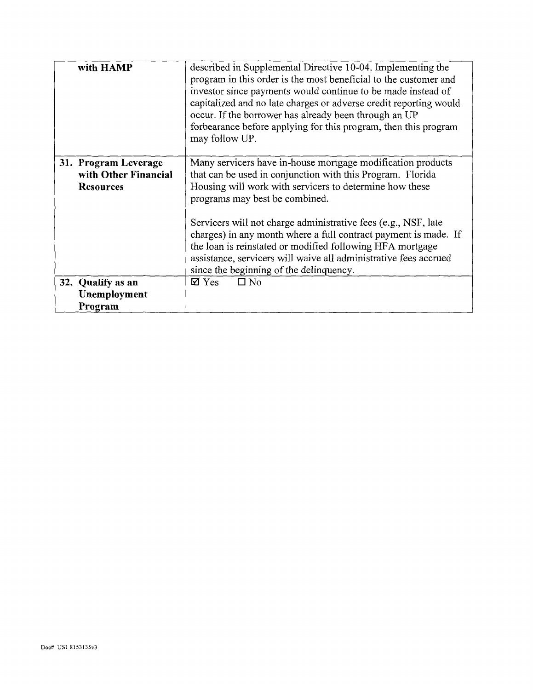| with HAMP                                                        | described in Supplemental Directive 10-04. Implementing the<br>program in this order is the most beneficial to the customer and<br>investor since payments would continue to be made instead of<br>capitalized and no late charges or adverse credit reporting would<br>occur. If the borrower has already been through an UP<br>forbearance before applying for this program, then this program<br>may follow UP.                                                                                                                      |
|------------------------------------------------------------------|-----------------------------------------------------------------------------------------------------------------------------------------------------------------------------------------------------------------------------------------------------------------------------------------------------------------------------------------------------------------------------------------------------------------------------------------------------------------------------------------------------------------------------------------|
| 31. Program Leverage<br>with Other Financial<br><b>Resources</b> | Many servicers have in-house mortgage modification products<br>that can be used in conjunction with this Program. Florida<br>Housing will work with servicers to determine how these<br>programs may best be combined.<br>Servicers will not charge administrative fees (e.g., NSF, late<br>charges) in any month where a full contract payment is made. If<br>the loan is reinstated or modified following HFA mortgage<br>assistance, servicers will waive all administrative fees accrued<br>since the beginning of the delinquency. |
| 32. Qualify as an<br>Unemployment                                | $\Box$ No<br>$\boxtimes$ Yes                                                                                                                                                                                                                                                                                                                                                                                                                                                                                                            |
| Program                                                          |                                                                                                                                                                                                                                                                                                                                                                                                                                                                                                                                         |